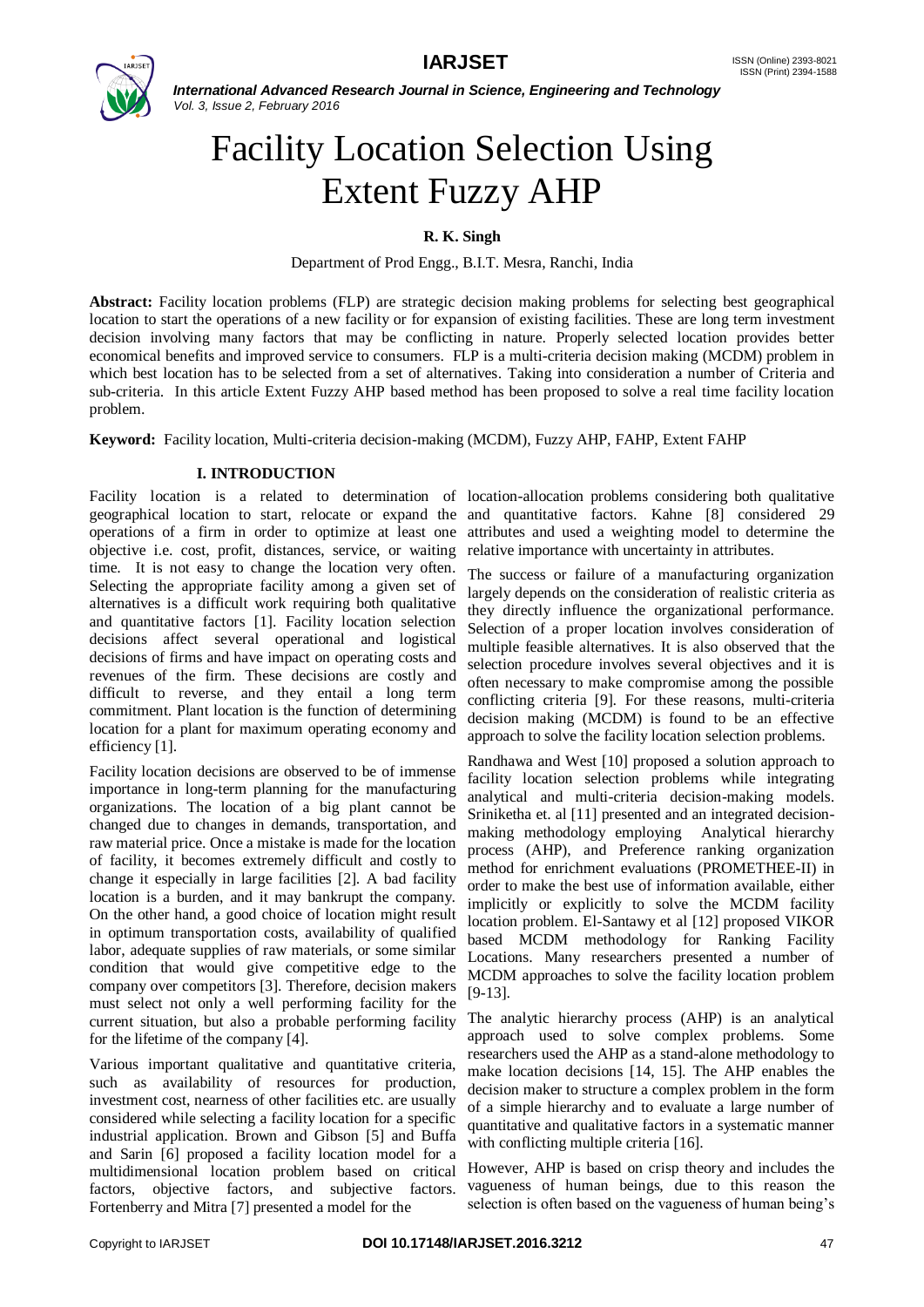

# Facility Location Selection Using Extent Fuzzy AHP

**R. K. Singh**

Department of Prod Engg., B.I.T. Mesra, Ranchi, India

**Abstract:** Facility location problems (FLP) are strategic decision making problems for selecting best geographical location to start the operations of a new facility or for expansion of existing facilities. These are long term investment decision involving many factors that may be conflicting in nature. Properly selected location provides better economical benefits and improved service to consumers. FLP is a multi-criteria decision making (MCDM) problem in which best location has to be selected from a set of alternatives. Taking into consideration a number of Criteria and sub-criteria. In this article Extent Fuzzy AHP based method has been proposed to solve a real time facility location problem.

**Keyword:** Facility location, Multi-criteria decision-making (MCDM), Fuzzy AHP, FAHP, Extent FAHP

### **I. INTRODUCTION**

Facility location is a related to determination of location-allocation problems considering both qualitative geographical location to start, relocate or expand the operations of a firm in order to optimize at least one objective i.e. cost, profit, distances, service, or waiting time. It is not easy to change the location very often. Selecting the appropriate facility among a given set of alternatives is a difficult work requiring both qualitative and quantitative factors [1]. Facility location selection decisions affect several operational and logistical decisions of firms and have impact on operating costs and revenues of the firm. These decisions are costly and difficult to reverse, and they entail a long term commitment. Plant location is the function of determining location for a plant for maximum operating economy and efficiency [1].

Facility location decisions are observed to be of immense importance in long-term planning for the manufacturing organizations. The location of a big plant cannot be changed due to changes in demands, transportation, and raw material price. Once a mistake is made for the location of facility, it becomes extremely difficult and costly to change it especially in large facilities [2]. A bad facility location is a burden, and it may bankrupt the company. On the other hand, a good choice of location might result in optimum transportation costs, availability of qualified labor, adequate supplies of raw materials, or some similar condition that would give competitive edge to the company over competitors [3]. Therefore, decision makers must select not only a well performing facility for the current situation, but also a probable performing facility for the lifetime of the company [4].

Various important qualitative and quantitative criteria, such as availability of resources for production, investment cost, nearness of other facilities etc. are usually considered while selecting a facility location for a specific industrial application. Brown and Gibson [5] and Buffa and Sarin [6] proposed a facility location model for a multidimensional location problem based on critical factors, objective factors, and subjective factors. Fortenberry and Mitra [7] presented a model for the

and quantitative factors. Kahne [8] considered 29 attributes and used a weighting model to determine the relative importance with uncertainty in attributes.

The success or failure of a manufacturing organization largely depends on the consideration of realistic criteria as they directly influence the organizational performance. Selection of a proper location involves consideration of multiple feasible alternatives. It is also observed that the selection procedure involves several objectives and it is often necessary to make compromise among the possible conflicting criteria [9]. For these reasons, multi-criteria decision making (MCDM) is found to be an effective approach to solve the facility location selection problems.

Randhawa and West [10] proposed a solution approach to facility location selection problems while integrating analytical and multi-criteria decision-making models. Sriniketha et. al [11] presented and an integrated decisionmaking methodology employing Analytical hierarchy process (AHP), and Preference ranking organization method for enrichment evaluations (PROMETHEE-II) in order to make the best use of information available, either implicitly or explicitly to solve the MCDM facility location problem. El-Santawy et al [12] proposed VIKOR based MCDM methodology for Ranking Facility Locations. Many researchers presented a number of MCDM approaches to solve the facility location problem [9-13].

The analytic hierarchy process (AHP) is an analytical approach used to solve complex problems. Some researchers used the AHP as a stand-alone methodology to make location decisions [14, 15]. The AHP enables the decision maker to structure a complex problem in the form of a simple hierarchy and to evaluate a large number of quantitative and qualitative factors in a systematic manner with conflicting multiple criteria [16].

However, AHP is based on crisp theory and includes the vagueness of human beings, due to this reason the selection is often based on the vagueness of human being's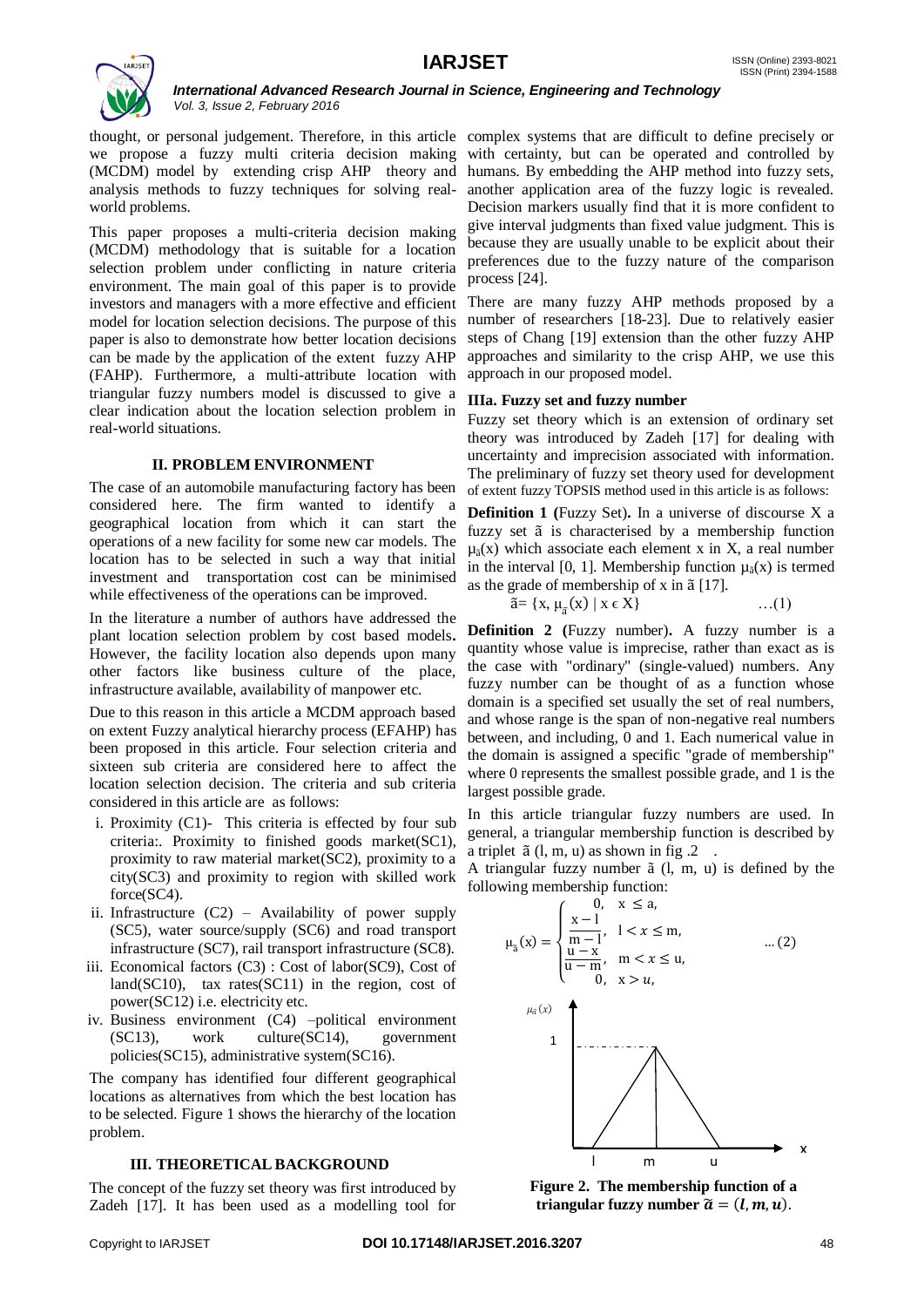

thought, or personal judgement. Therefore, in this article complex systems that are difficult to define precisely or we propose a fuzzy multi criteria decision making with certainty, but can be operated and controlled by (MCDM) model by extending crisp AHP theory and analysis methods to fuzzy techniques for solving realworld problems.

This paper proposes a multi-criteria decision making (MCDM) methodology that is suitable for a location selection problem under conflicting in nature criteria environment. The main goal of this paper is to provide investors and managers with a more effective and efficient model for location selection decisions. The purpose of this paper is also to demonstrate how better location decisions can be made by the application of the extent fuzzy AHP (FAHP). Furthermore, a multi-attribute location with triangular fuzzy numbers model is discussed to give a clear indication about the location selection problem in real-world situations.

#### **II. PROBLEM ENVIRONMENT**

The case of an automobile manufacturing factory has been considered here. The firm wanted to identify a geographical location from which it can start the operations of a new facility for some new car models. The location has to be selected in such a way that initial investment and transportation cost can be minimised while effectiveness of the operations can be improved.

In the literature a number of authors have addressed the plant location selection problem by cost based models**.** However, the facility location also depends upon many other factors like business culture of the place, infrastructure available, availability of manpower etc.

Due to this reason in this article a MCDM approach based on extent Fuzzy analytical hierarchy process (EFAHP) has been proposed in this article. Four selection criteria and sixteen sub criteria are considered here to affect the location selection decision. The criteria and sub criteria considered in this article are as follows:

- i. Proximity (C1)- This criteria is effected by four sub criteria:. Proximity to finished goods market(SC1), proximity to raw material market(SC2), proximity to a city(SC3) and proximity to region with skilled work force(SC4).
- ii. Infrastructure  $(C2)$  Availability of power supply (SC5), water source/supply (SC6) and road transport infrastructure (SC7), rail transport infrastructure (SC8).
- iii. Economical factors (C3) : Cost of labor(SC9), Cost of land(SC10), tax rates(SC11) in the region, cost of power(SC12) i.e. electricity etc.
- iv. Business environment (C4) –political environment (SC13), work culture(SC14), government policies(SC15), administrative system(SC16).

The company has identified four different geographical locations as alternatives from which the best location has to be selected. Figure 1 shows the hierarchy of the location problem.

#### **III. THEORETICAL BACKGROUND**

The concept of the fuzzy set theory was first introduced by Zadeh [17]. It has been used as a modelling tool for

humans. By embedding the AHP method into fuzzy sets, another application area of the fuzzy logic is revealed. Decision markers usually find that it is more confident to give interval judgments than fixed value judgment. This is because they are usually unable to be explicit about their preferences due to the fuzzy nature of the comparison process [24].

There are many fuzzy AHP methods proposed by a number of researchers [18-23]. Due to relatively easier steps of Chang [19] extension than the other fuzzy AHP approaches and similarity to the crisp AHP, we use this approach in our proposed model.

#### **IIIa. Fuzzy set and fuzzy number**

Fuzzy set theory which is an extension of ordinary set theory was introduced by Zadeh [17] for dealing with uncertainty and imprecision associated with information. The preliminary of fuzzy set theory used for development of extent fuzzy TOPSIS method used in this article is as follows:

**Definition 1 (**Fuzzy Set)**.** In a universe of discourse X a fuzzy set  $\tilde{a}$  is characterised by a membership function  $\mu_{\tilde{a}}(x)$  which associate each element x in X, a real number in the interval [0, 1]. Membership function  $\mu_{\tilde{a}}(x)$  is termed as the grade of membership of x in  $\tilde{a}$  [17].

$$
\tilde{a} = \{x, \mu_{\tilde{a}}(x) \mid x \in X\} \tag{1}
$$

**Definition 2 (**Fuzzy number)**.** A fuzzy number is a quantity whose value is imprecise, rather than exact as is the case with "ordinary" (single-valued) numbers. Any fuzzy number can be thought of as a function whose domain is a specified set usually the set of real numbers, and whose range is the span of non-negative real numbers between, and including, 0 and 1. Each numerical value in the domain is assigned a specific "grade of membership" where 0 represents the smallest possible grade, and 1 is the largest possible grade.

In this article triangular fuzzy numbers are used. In general, a triangular membership function is described by a triplet  $\tilde{a}$  (l, m, u) as shown in fig. 2

A triangular fuzzy number ã (l, m, u) is defined by the following membership function:



**Figure 2. The membership function of a triangular fuzzy number**  $\tilde{a} = (l, m, u)$ **.**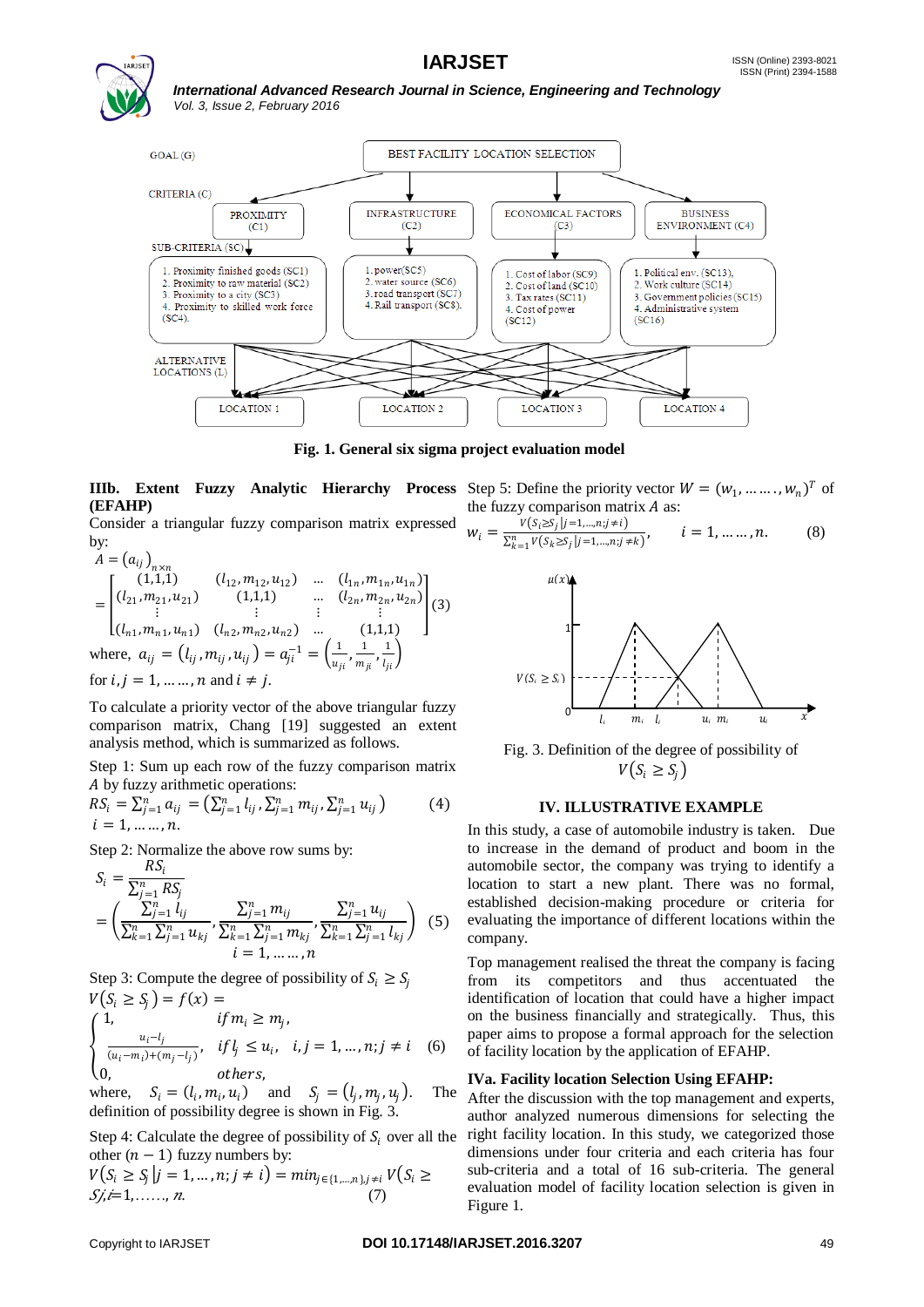#### **IARJSET** ISSN (Online) 2393-8021 ISSN (Print) 2394-1588



*International Advanced Research Journal in Science, Engineering and Technology Vol. 3, Issue 2, February 2016*



**Fig. 1. General six sigma project evaluation model**

## **(EFAHP)**

Consider a triangular fuzzy comparison matrix expressed by:

$$
A = (a_{ij})_{n \times n}
$$
  
= 
$$
\begin{bmatrix} (1,1,1) & (l_{12}, m_{12}, u_{12}) & \dots & (l_{1n}, m_{1n}, u_{1n}) \\ (l_{21}, m_{21}, u_{21}) & (1,1,1) & \dots & (l_{2n}, m_{2n}, u_{2n}) \\ \vdots & \vdots & \vdots & \vdots \\ (l_{n1}, m_{n1}, u_{n1}) & (l_{n2}, m_{n2}, u_{n2}) & \dots & (1,1,1) \\ \text{where, } a_{ij} = (l_{ij}, m_{ij}, u_{ij}) = a_{ji}^{-1} = \left(\frac{1}{u_{ji}}, \frac{1}{m_{ji}}, \frac{1}{l_{ji}}\right) \\ \text{for } i, j = 1, \dots, n \text{ and } i \neq j. \end{bmatrix}
$$
(3)

To calculate a priority vector of the above triangular fuzzy comparison matrix, Chang [19] suggested an extent analysis method, which is summarized as follows.

Step 1: Sum up each row of the fuzzy comparison matrix A by fuzzy arithmetic operations:

$$
RS_i = \sum_{j=1}^n a_{ij} = (\sum_{j=1}^n l_{ij}, \sum_{j=1}^n m_{ij}, \sum_{j=1}^n u_{ij})
$$
 (4)  
 $i = 1, ..., n$ .

Step 2: Normalize the above row sums by:

$$
S_i = \frac{RS_i}{\sum_{j=1}^n RS_j}
$$
  
=  $\left(\frac{\sum_{j=1}^n l_{ij}}{\sum_{k=1}^n \sum_{j=1}^n u_{kj}}, \frac{\sum_{j=1}^n m_{ij}}{\sum_{k=1}^n \sum_{j=1}^n m_{kj}}, \frac{\sum_{j=1}^n u_{ij}}{\sum_{k=1}^n \sum_{j=1}^n l_{kj}}\right)$  (5)  
 $i = 1, ..., n$ 

Step 3: Compute the degree of possibility of  $S_i \geq S_i$  $V(S_i \geq S_j) = f(x) =$ 

$$
\begin{cases}\n1, & if m_i \ge m_j, \\
\frac{u_i - l_j}{(u_i - m_i) + (m_j - l_j)}, & if l_j \le u_i, \quad i, j = 1, ..., n; j \ne i \\
0, & otherwise\n\end{cases}
$$
\n(6)

where,  $S_i = (l_i, m_i, u_i)$  and  $S_j = (l_j, m_j, u_j)$  . The definition of possibility degree is shown in Fig. 3.

Step 4: Calculate the degree of possibility of  $S_i$  over all the other  $(n - 1)$  fuzzy numbers by:

 $V(S_i \geq S_j | j = 1, ..., n; j \neq i) = min_{j \in \{1, ..., n\}, j \neq i} V(S_i \geq i)$  $\mathcal{S}$ *j*, $i=1,\ldots, n$ .

**IIIb.** Extent Fuzzy Analytic Hierarchy Process Step 5: Define the priority vector  $W = (w_1, \dots, w_n)^T$  of the fuzzy comparison matrix  $A$  as:

$$
w_i = \frac{V(S_i \ge S_j | j=1,...,n; j \ne i)}{\sum_{k=1}^n V(S_k \ge S_j | j=1,...,n; j \ne k)}, \qquad i = 1,...,n.
$$
 (8)



Fig. 3. Definition of the degree of possibility of  $V(S_i \geq S_j)$ 

#### **IV. ILLUSTRATIVE EXAMPLE**

In this study, a case of automobile industry is taken. Due to increase in the demand of product and boom in the automobile sector, the company was trying to identify a location to start a new plant. There was no formal, established decision-making procedure or criteria for evaluating the importance of different locations within the company.

Top management realised the threat the company is facing from its competitors and thus accentuated the identification of location that could have a higher impact on the business financially and strategically. Thus, this paper aims to propose a formal approach for the selection of facility location by the application of EFAHP.

#### **IVa. Facility location Selection Using EFAHP:**

After the discussion with the top management and experts, author analyzed numerous dimensions for selecting the right facility location. In this study, we categorized those dimensions under four criteria and each criteria has four sub-criteria and a total of 16 sub-criteria. The general evaluation model of facility location selection is given in Figure 1.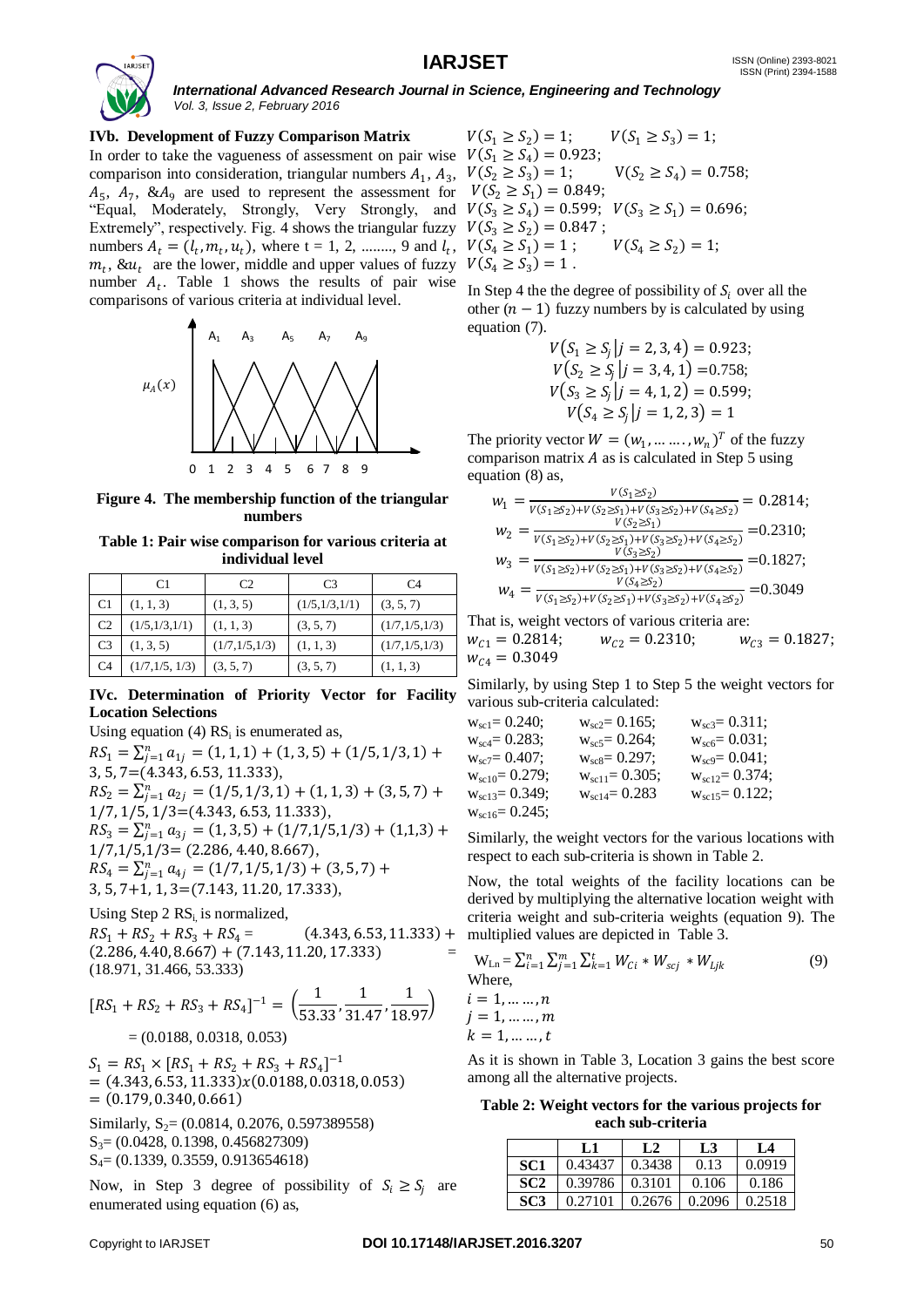

#### **IVb. Development of Fuzzy Comparison Matrix**

In order to take the vagueness of assessment on pair wise comparison into consideration, triangular numbers  $A_1$ ,  $A_3$ ,  $A_5$ ,  $A_7$ ,  $\&A_9$  are used to represent the assessment for "Equal, Moderately, Strongly, Very Strongly, and Extremely", respectively. Fig. 4 shows the triangular fuzzy numbers  $A_t = (l_t, m_t, u_t)$ , where  $t = 1, 2, \dots, 9$  and  $l_t$ ,  $m_t$ ,  $\&u_t$  are the lower, middle and upper values of fuzzy  $V(S_4 \geq S_3) = 1$ . number  $A_t$ . Table 1 shows the results of pair wise comparisons of various criteria at individual level.



**Figure 4. The membership function of the triangular numbers**

**Table 1: Pair wise comparison for various criteria at individual level**

|                | C <sub>1</sub> | C <sub>2</sub> | C <sub>3</sub> | C <sub>4</sub> |
|----------------|----------------|----------------|----------------|----------------|
| C <sub>1</sub> | (1, 1, 3)      | (1, 3, 5)      | (1/5,1/3,1/1)  | (3, 5, 7)      |
| C <sub>2</sub> | (1/5,1/3,1/1)  | (1, 1, 3)      | (3, 5, 7)      | (1/7,1/5,1/3)  |
| C <sub>3</sub> | (1, 3, 5)      | (1/7,1/5,1/3)  | (1, 1, 3)      | (1/7,1/5,1/3)  |
| C <sub>4</sub> | (1/7,1/5,1/3)  | (3, 5, 7)      | (3, 5, 7)      | (1, 1, 3)      |

### **IVc. Determination of Priority Vector for Facility Location Selections**

Using equation (4)  $RS_i$  is enumerated as,  $RS_1 = \sum_{j=1}^n a_{1j} = (1, 1, 1) + (1, 3, 5) + (1/5, 1/3, 1) +$ 3, 5, 7=(4.343, 6.53, 11.333),  $RS_2 = \sum_{j=1}^n a_{2j} = (1/5, 1/3, 1) + (1, 1, 3) + (3, 5, 7) +$ 1/7, 1/5, 1/3=(4.343, 6.53, 11.333),  $RS_3 = \sum_{j=1}^n a_{3j} = (1, 3, 5) + (1/7, 1/5, 1/3) + (1, 1, 3) +$ 1/7,1/5,1/3= (2.286, 4.40, 8.667),  $RS_4 = \sum_{j=1}^n a_{4j} = (1/7, 1/5, 1/3) + (3, 5, 7) +$ 3, 5, 7+1, 1, 3=(7.143, 11.20, 17.333),

Using Step 2  $RS_i$  is normalized,

 $RS_1 + RS_2 + RS_3 + RS_4 =$  (4.343, 6.53, 11.333) +  $(2.286, 4.40, 8.667) + (7.143, 11.20, 17.333)$ (18.971, 31.466, 53.333)

$$
[RS_1 + RS_2 + RS_3 + RS_4]^{-1} = \left(\frac{1}{53.33}, \frac{1}{31.47}, \frac{1}{18.97}\right)
$$
  
= (0.0188, 0.0318, 0.053)

 $S_1 = RS_1 \times [RS_1 + RS_2 + RS_3 + RS_4]^{-1}$  $= (4.343, 6.53, 11.333) \times (0.0188, 0.0318, 0.053)$  $= (0.179, 0.340, 0.661)$ 

Similarly,  $S_2$  = (0.0814, 0.2076, 0.597389558) S3= (0.0428, 0.1398, 0.456827309) S4= (0.1339, 0.3559, 0.913654618)

Now, in Step 3 degree of possibility of  $S_i \geq S_i$  are enumerated using equation (6) as,

$$
V(S_1 \ge S_2) = 1; \t V(S_1 \ge S_3) = 1; \nV(S_1 \ge S_4) = 0.923; \nV(S_2 \ge S_3) = 1; \t V(S_2 \ge S_4) = 0.758; \nV(S_2 \ge S_1) = 0.849; \nV(S_3 \ge S_4) = 0.599; \t V(S_3 \ge S_1) = 0.696; \nV(S_3 \ge S_2) = 0.847; \nV(S_4 \ge S_1) = 1; \t V(S_4 \ge S_2) = 1;
$$

In Step 4 the the degree of possibility of  $S_i$  over all the other  $(n - 1)$  fuzzy numbers by is calculated by using equation (7).

$$
V(S_1 \ge S_j | j = 2, 3, 4) = 0.923;
$$
  
\n
$$
V(S_2 \ge S_j | j = 3, 4, 1) = 0.758;
$$
  
\n
$$
V(S_3 \ge S_j | j = 4, 1, 2) = 0.599;
$$
  
\n
$$
V(S_4 \ge S_j | j = 1, 2, 3) = 1
$$

The priority vector  $W = (w_1, \dots, w_n)^T$  of the fuzzy comparison matrix  $A$  as is calculated in Step 5 using equation (8) as,

$$
w_1 = \frac{V(S_1 \ge S_2)}{V(S_1 \ge S_2) + V(S_2 \ge S_1) + V(S_3 \ge S_2) + V(S_4 \ge S_2)} = 0.2814;
$$
  
\n
$$
w_2 = \frac{V(S_2 \ge S_1)}{V(S_1 \ge S_2) + V(S_2 \ge S_1) + V(S_3 \ge S_2) + V(S_4 \ge S_2)} = 0.2310;
$$
  
\n
$$
w_3 = \frac{V(S_3 \ge S_2)}{V(S_1 \ge S_2) + V(S_2 \ge S_1) + V(S_3 \ge S_2) + V(S_4 \ge S_2)} = 0.1827;
$$
  
\n
$$
w_4 = \frac{V(S_4 \ge S_2)}{V(S_1 \ge S_2) + V(S_2 \ge S_1) + V(S_3 \ge S_2) + V(S_4 \ge S_2)} = 0.3049
$$

That is, weight vectors of various criteria are:  $w_{C1} = 0.2814; \quad w_{C2} = 0.2310; \quad w_{C3} = 0.1827;$  $W_{C4} = 0.3049$ 

Similarly, by using Step 1 to Step 5 the weight vectors for various sub-criteria calculated:

$$
\begin{array}{llll} &w_{sc1}\rm{=0.240;}\\ &w_{sc2}\rm{=0.165;}\\ &w_{sc4}\rm{=0.283;}\\ &w_{sc7}\rm{=0.407;}\\ &w_{sc1}\rm{=0.279;}\\ &w_{sc1}\rm{=0.349;}\\ &w_{sc1}\rm{=0.283} \end{array} \quad\begin{array}{llll} &w_{sc2}\rm{=0.165;}\\ &w_{sc3}\rm{=0.311;}\\ &w_{sc6}\rm{=0.031;}\\ &w_{sc4}\rm{=0.0305;}\\ &w_{sc1}\rm{=0.374;}\\ &w_{sc1}\rm{=0.122;}\\ &w_{sc1}\rm{=0.122;} \end{array}
$$

Similarly, the weight vectors for the various locations with respect to each sub-criteria is shown in Table 2.

Now, the total weights of the facility locations can be derived by multiplying the alternative location weight with criteria weight and sub-criteria weights (equation 9). The multiplied values are depicted in Table 3.

$$
W_{Ln} = \sum_{i=1}^{n} \sum_{j=1}^{m} \sum_{k=1}^{t} W_{Ci} * W_{sci} * W_{Ljk}
$$
  
\nWhere,  
\n $i = 1, ..., n$   
\n $j = 1, ..., m$   
\n $k = 1, ..., t$  (9)

As it is shown in Table 3, Location 3 gains the best score among all the alternative projects.

**Table 2: Weight vectors for the various projects for each sub-criteria**

|                 | L1                   | L <sub>2</sub> | L <sub>3</sub> | L4     |
|-----------------|----------------------|----------------|----------------|--------|
| SC <sub>1</sub> | 0.43437              | 0.3438         | 0.13           | 0.0919 |
| SC <sub>2</sub> | $0.39786 \pm 0.3101$ |                | 0.106          | 0.186  |
| SC <sub>3</sub> | 0.27101              | 0.2676         | 0.2096         | 0.2518 |